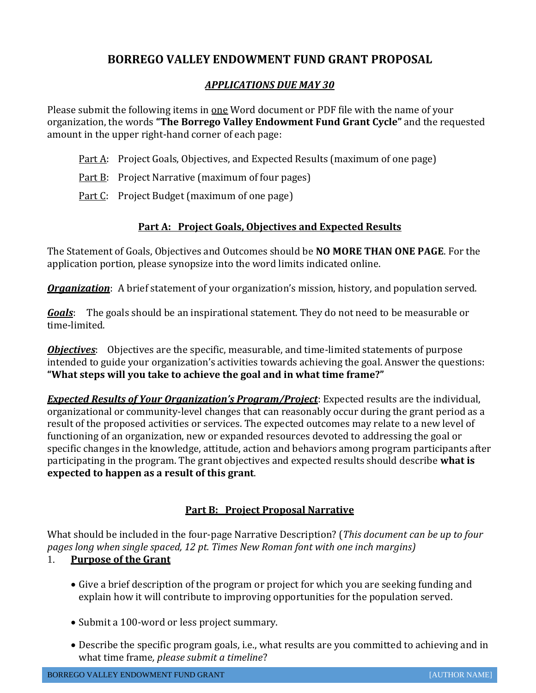# **BORREGO VALLEY ENDOWMENT FUND GRANT PROPOSAL**

#### *APPLICATIONS DUE MAY 30*

Please submit the following items in one Word document or PDF file with the name of your organization, the words **"The Borrego Valley Endowment Fund Grant Cycle"** and the requested amount in the upper right-hand corner of each page:

- Part A: Project Goals, Objectives, and Expected Results (maximum of one page)
- Part B: Project Narrative (maximum of four pages)
- Part C: Project Budget (maximum of one page)

## **Part A: Project Goals, Objectives and Expected Results**

The Statement of Goals, Objectives and Outcomes should be **NO MORE THAN ONE PAGE**. For the application portion, please synopsize into the word limits indicated online.

*Organization*: A brief statement of your organization's mission, history, and population served.

*Goals*: The goals should be an inspirational statement. They do not need to be measurable or time-limited.

*Objectives*: Objectives are the specific, measurable, and time-limited statements of purpose intended to guide your organization's activities towards achieving the goal. Answer the questions: **"What steps will you take to achieve the goal and in what time frame?"**

*Expected Results of Your Organization's Program/Project*: Expected results are the individual, organizational or community-level changes that can reasonably occur during the grant period as a result of the proposed activities or services. The expected outcomes may relate to a new level of functioning of an organization, new or expanded resources devoted to addressing the goal or specific changes in the knowledge, attitude, action and behaviors among program participants after participating in the program. The grant objectives and expected results should describe **what is expected to happen as a result of this grant**.

# **Part B: Project Proposal Narrative**

What should be included in the four-page Narrative Description? (*This document can be up to four pages long when single spaced, 12 pt. Times New Roman font with one inch margins)*

# 1. **Purpose of the Grant**

- Give a brief description of the program or project for which you are seeking funding and explain how it will contribute to improving opportunities for the population served.
- Submit a 100-word or less project summary.
- Describe the specific program goals, i.e., what results are you committed to achieving and in what time frame*, please submit a timeline*?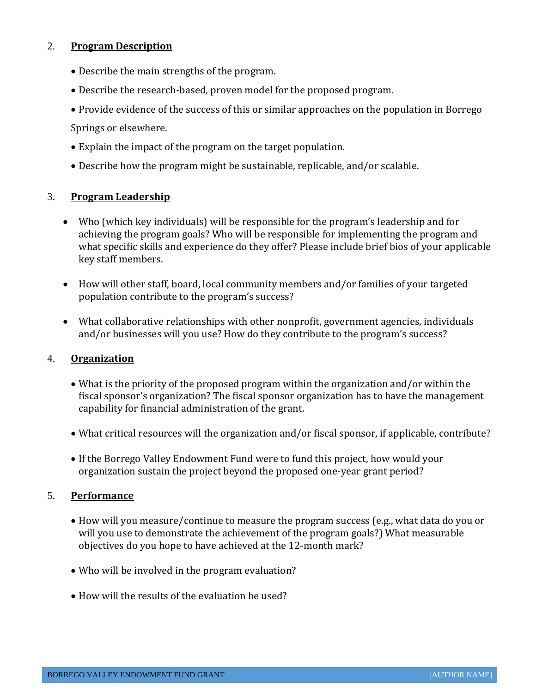## 2. **Program Description**

- Describe the main strengths of the program.
- Describe the research-based, proven model for the proposed program.
- Provide evidence of the success of this or similar approaches on the population in Borrego

Springs or elsewhere.

- Explain the impact of the program on the target population.
- Describe how the program might be sustainable, replicable, and/or scalable.

## 3. **Program Leadership**

- Who (which key individuals) will be responsible for the program's leadership and for achieving the program goals? Who will be responsible for implementing the program and what specific skills and experience do they offer? Please include brief bios of your applicable key staff members.
- How will other staff, board, local community members and/or families of your targeted population contribute to the program's success?
- What collaborative relationships with other nonprofit, government agencies, individuals and/or businesses will you use? How do they contribute to the program's success?

#### 4. **Organization**

- What is the priority of the proposed program within the organization and/or within the fiscal sponsor's organization? The fiscal sponsor organization has to have the management capability for financial administration of the grant.
- What critical resources will the organization and/or fiscal sponsor, if applicable, contribute?
- If the Borrego Valley Endowment Fund were to fund this project, how would your organization sustain the project beyond the proposed one-year grant period?

#### 5. **Performance**

- How will you measure/continue to measure the program success (e.g., what data do you or will you use to demonstrate the achievement of the program goals?) What measurable objectives do you hope to have achieved at the 12-month mark?
- Who will be involved in the program evaluation?
- How will the results of the evaluation be used?